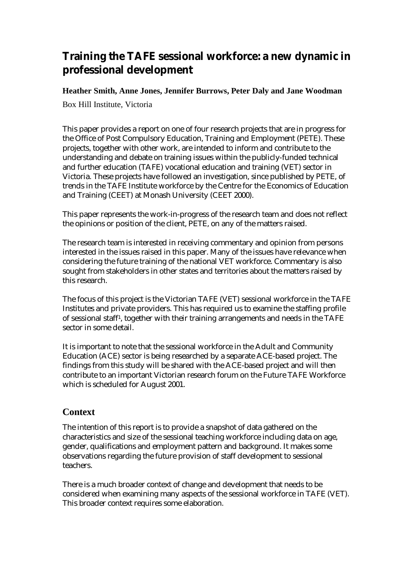# **Training the TAFE sessional workforce: a new dynamic in professional development**

#### **Heather Smith, Anne Jones, Jennifer Burrows, Peter Daly and Jane Woodman**

Box Hill Institute, Victoria

This paper provides a report on one of four research projects that are in progress for the Office of Post Compulsory Education, Training and Employment (PETE). These projects, together with other work, are intended to inform and contribute to the understanding and debate on training issues within the publicly-funded technical and further education (TAFE) vocational education and training (VET) sector in Victoria. These projects have followed an investigation, since published by PETE, of trends in the TAFE Institute workforce by the Centre for the Economics of Education and Training (CEET) at Monash University (CEET 2000).

This paper represents the work-in-progress of the research team and does not reflect the opinions or position of the client, PETE, on any of the matters raised.

The research team is interested in receiving commentary and opinion from persons interested in the issues raised in this paper. Many of the issues have relevance when considering the future training of the national VET workforce. Commentary is also sought from stakeholders in other states and territories about the matters raised by this research.

The focus of this project is the Victorian TAFE (VET) sessional workforce in the TAFE Institutes and private providers. This has required us to examine the staffing profile of sessional staff1, together with their training arrangements and needs in the TAFE sector in some detail.

It is important to note that the sessional workforce in the Adult and Community Education (ACE) sector is being researched by a separate ACE-based project. The findings from this study will be shared with the ACE-based project and will then contribute to an important Victorian research forum on the Future TAFE Workforce which is scheduled for August 2001.

## **Context**

The intention of this report is to provide a snapshot of data gathered on the characteristics and size of the sessional teaching workforce including data on age, gender, qualifications and employment pattern and background. It makes some observations regarding the future provision of staff development to sessional teachers.

There is a much broader context of change and development that needs to be considered when examining many aspects of the sessional workforce in TAFE (VET). This broader context requires some elaboration.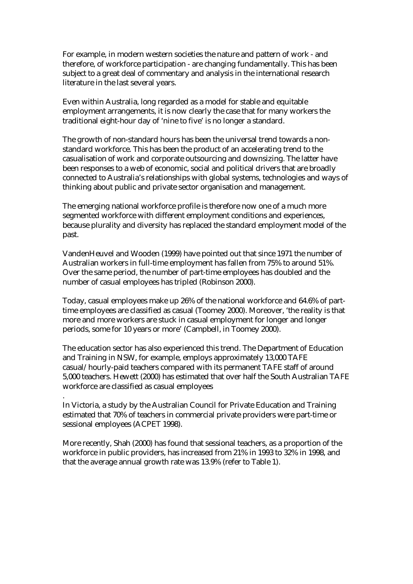For example, in modern western societies the nature and pattern of work - and therefore, of workforce participation - are changing fundamentally. This has been subject to a great deal of commentary and analysis in the international research literature in the last several years.

Even within Australia, long regarded as a model for stable and equitable employment arrangements, it is now clearly the case that for many workers the traditional eight-hour day of 'nine to five' is no longer a standard.

The growth of non-standard hours has been the universal trend towards a nonstandard workforce. This has been the product of an accelerating trend to the casualisation of work and corporate outsourcing and downsizing. The latter have been responses to a web of economic, social and political drivers that are broadly connected to Australia's relationships with global systems, technologies and ways of thinking about public and private sector organisation and management.

The emerging national workforce profile is therefore now one of a much more segmented workforce with different employment conditions and experiences, because plurality and diversity has replaced the standard employment model of the past.

VandenHeuvel and Wooden (1999) have pointed out that since 1971 the number of Australian workers in full-time employment has fallen from 75% to around 51%. Over the same period, the number of part-time employees has doubled and the number of casual employees has tripled (Robinson 2000).

Today, casual employees make up 26% of the national workforce and 64.6% of parttime employees are classified as casual (Toomey 2000). Moreover, 'the reality is that more and more workers are stuck in casual employment for longer and longer periods, some for 10 years or more' (Campbell, in Toomey 2000).

The education sector has also experienced this trend. The Department of Education and Training in NSW, for example, employs approximately 13,000 TAFE casual/hourly-paid teachers compared with its permanent TAFE staff of around 5,000 teachers. Hewett (2000) has estimated that over half the South Australian TAFE workforce are classified as casual employees

In Victoria, a study by the Australian Council for Private Education and Training estimated that 70% of teachers in commercial private providers were part-time or sessional employees (ACPET 1998).

.

More recently, Shah (2000) has found that sessional teachers, as a proportion of the workforce in public providers, has increased from 21% in 1993 to 32% in 1998, and that the average annual growth rate was 13.9% (refer to Table 1).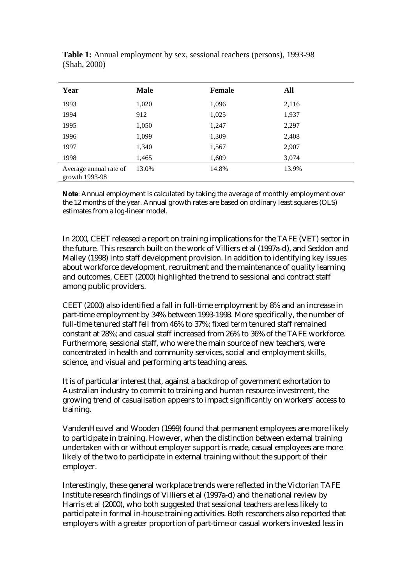| Year                                     | <b>Male</b> | <b>Female</b> | All   |
|------------------------------------------|-------------|---------------|-------|
| 1993                                     | 1,020       | 1,096         | 2,116 |
| 1994                                     | 912         | 1,025         | 1,937 |
| 1995                                     | 1,050       | 1,247         | 2,297 |
| 1996                                     | 1,099       | 1,309         | 2,408 |
| 1997                                     | 1,340       | 1,567         | 2,907 |
| 1998                                     | 1,465       | 1,609         | 3,074 |
| Average annual rate of<br>growth 1993-98 | 13.0%       | 14.8%         | 13.9% |

Table 1: Annual employment by sex, sessional teachers (persons), 1993-98 (Shah, 2000)

**Note**: Annual employment is calculated by taking the average of monthly employment over the 12 months of the year. Annual growth rates are based on ordinary least squares (OLS) estimates from a log-linear model.

In 2000, CEET released a report on training implications for the TAFE (VET) sector in the future. This research built on the work of Villiers et al (1997a-d), and Seddon and Malley (1998) into staff development provision. In addition to identifying key issues about workforce development, recruitment and the maintenance of quality learning and outcomes, CEET (2000) highlighted the trend to sessional and contract staff among public providers.

CEET (2000) also identified a fall in full-time employment by 8% and an increase in part-time employment by 34% between 1993-1998. More specifically, the number of full-time tenured staff fell from 46% to 37%; fixed term tenured staff remained constant at 28%; and casual staff increased from 26% to 36% of the TAFE workforce. Furthermore, sessional staff, who were the main source of new teachers, were concentrated in health and community services, social and employment skills, science, and visual and performing arts teaching areas.

It is of particular interest that, against a backdrop of government exhortation to Australian industry to commit to training and human resource investment, the growing trend of casualisation appears to impact significantly on workers' access to training.

VandenHeuvel and Wooden (1999) found that permanent employees are more likely to participate in training. However, when the distinction between external training undertaken with or without employer support is made, casual employees are more likely of the two to participate in external training without the support of their employer.

Interestingly, these general workplace trends were reflected in the Victorian TAFE Institute research findings of Villiers et al (1997a-d) and the national review by Harris et al (2000), who both suggested that sessional teachers are less likely to participate in formal in-house training activities. Both researchers also reported that employers with a greater proportion of part-time or casual workers invested less in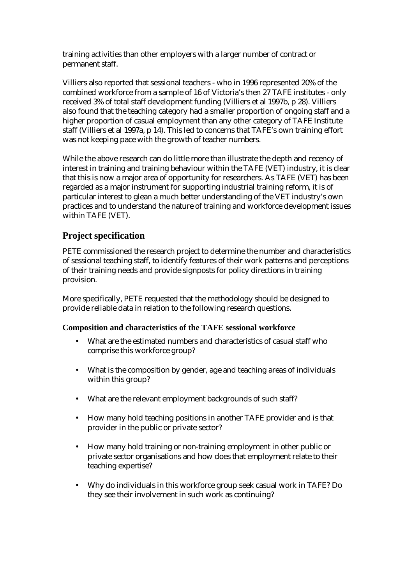training activities than other employers with a larger number of contract or permanent staff.

Villiers also reported that sessional teachers - who in 1996 represented 20% of the combined workforce from a sample of 16 of Victoria's then 27 TAFE institutes - only received 3% of total staff development funding (Villiers et al 1997b, p 28). Villiers also found that the teaching category had a smaller proportion of ongoing staff and a higher proportion of casual employment than any other category of TAFE Institute staff (Villiers et al 1997a, p 14). This led to concerns that TAFE's own training effort was not keeping pace with the growth of teacher numbers.

While the above research can do little more than illustrate the depth and recency of interest in training and training behaviour within the TAFE (VET) industry, it is clear that this is now a major area of opportunity for researchers. As TAFE (VET) has been regarded as a major instrument for supporting industrial training reform, it is of particular interest to glean a much better understanding of the VET industry's own practices and to understand the nature of training and workforce development issues within TAFE (VET).

# **Project specification**

PETE commissioned the research project to determine the number and characteristics of sessional teaching staff, to identify features of their work patterns and perceptions of their training needs and provide signposts for policy directions in training provision.

More specifically, PETE requested that the methodology should be designed to provide reliable data in relation to the following research questions.

#### **Composition and characteristics of the TAFE sessional workforce**

- What are the estimated numbers and characteristics of casual staff who comprise this workforce group?
- What is the composition by gender, age and teaching areas of individuals within this group?
- What are the relevant employment backgrounds of such staff?
- How many hold teaching positions in another TAFE provider and is that provider in the public or private sector?
- How many hold training or non-training employment in other public or private sector organisations and how does that employment relate to their teaching expertise?
- Why do individuals in this workforce group seek casual work in TAFE? Do they see their involvement in such work as continuing?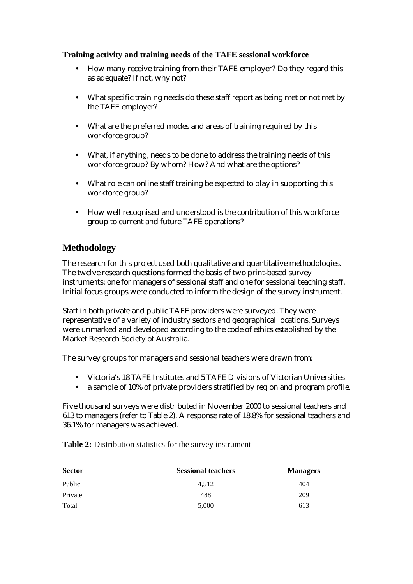#### **Training activity and training needs of the TAFE sessional workforce**

- How many receive training from their TAFE employer? Do they regard this as adequate? If not, why not?
- What specific training needs do these staff report as being met or not met by the TAFE employer?
- What are the preferred modes and areas of training required by this workforce group?
- What, if anything, needs to be done to address the training needs of this workforce group? By whom? How? And what are the options?
- What role can online staff training be expected to play in supporting this workforce group?
- How well recognised and understood is the contribution of this workforce group to current and future TAFE operations?

# **Methodology**

The research for this project used both qualitative and quantitative methodologies. The twelve research questions formed the basis of two print-based survey instruments; one for managers of sessional staff and one for sessional teaching staff. Initial focus groups were conducted to inform the design of the survey instrument.

Staff in both private and public TAFE providers were surveyed. They were representative of a variety of industry sectors and geographical locations. Surveys were unmarked and developed according to the code of ethics established by the Market Research Society of Australia.

The survey groups for managers and sessional teachers were drawn from:

- Victoria's 18 TAFE Institutes and 5 TAFE Divisions of Victorian Universities
- a sample of 10% of private providers stratified by region and program profile.

Five thousand surveys were distributed in November 2000 to sessional teachers and 613 to managers (refer to Table 2). A response rate of 18.8% for sessional teachers and 36.1% for managers was achieved.

**Sector Sessional teachers Managers**  Public 4,512 404 Private 209  $Total$   $5,000$   $613$ 

**Table 2:** Distribution statistics for the survey instrument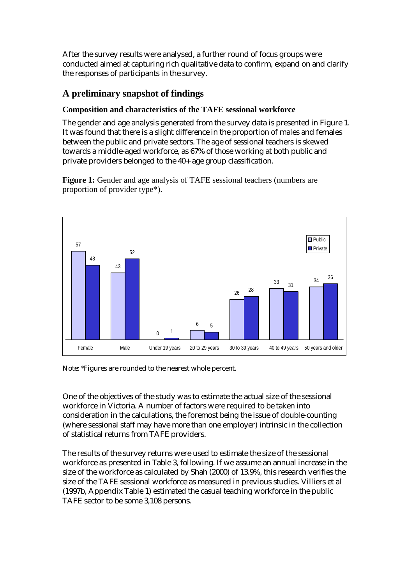After the survey results were analysed, a further round of focus groups were conducted aimed at capturing rich qualitative data to confirm, expand on and clarify the responses of participants in the survey.

## **A preliminary snapshot of findings**

### **Composition and characteristics of the TAFE sessional workforce**

The gender and age analysis generated from the survey data is presented in Figure 1. It was found that there is a slight difference in the proportion of males and females between the public and private sectors. The age of sessional teachers is skewed towards a middle-aged workforce, as 67% of those working at both public and private providers belonged to the 40+ age group classification.

**Figure 1:** Gender and age analysis of TAFE sessional teachers (numbers are proportion of provider type\*).



Note: \*Figures are rounded to the nearest whole percent.

One of the objectives of the study was to estimate the actual size of the sessional workforce in Victoria. A number of factors were required to be taken into consideration in the calculations, the foremost being the issue of double-counting (where sessional staff may have more than one employer) intrinsic in the collection of statistical returns from TAFE providers.

The results of the survey returns were used to estimate the size of the sessional workforce as presented in Table 3, following. If we assume an annual increase in the size of the workforce as calculated by Shah (2000) of 13.9%, this research verifies the size of the TAFE sessional workforce as measured in previous studies. Villiers et al (1997b, Appendix Table 1) estimated the casual teaching workforce in the public TAFE sector to be some 3,108 persons.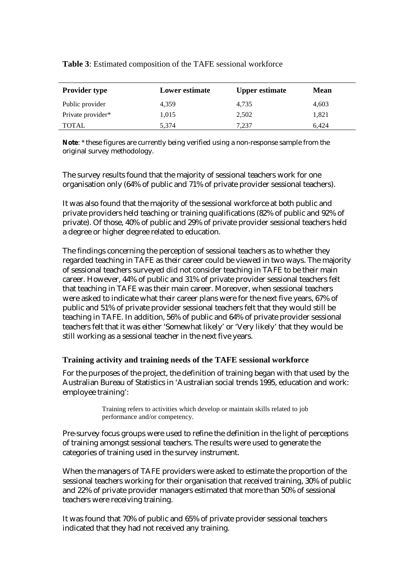| <b>Provider type</b> | Lower estimate | <b>Upper estimate</b> | <b>Mean</b> |
|----------------------|----------------|-----------------------|-------------|
| Public provider      | 4.359          | 4.735                 | 4,603       |
| Private provider*    | 1,015          | 2.502                 | 1,821       |
| <b>TOTAL</b>         | 5.374          | 7.237                 | 6.424       |

#### **Table 3**: Estimated composition of the TAFE sessional workforce

**Note**: \* these figures are currently being verified using a non-response sample from the original survey methodology.

The survey results found that the majority of sessional teachers work for one organisation only (64% of public and 71% of private provider sessional teachers).

It was also found that the majority of the sessional workforce at both public and private providers held teaching or training qualifications (82% of public and 92% of private). Of those, 40% of public and 29% of private provider sessional teachers held a degree or higher degree related to education.

The findings concerning the perception of sessional teachers as to whether they regarded teaching in TAFE as their career could be viewed in two ways. The majority of sessional teachers surveyed did not consider teaching in TAFE to be their main career. However, 44% of public and 31% of private provider sessional teachers felt that teaching in TAFE was their main career. Moreover, when sessional teachers were asked to indicate what their career plans were for the next five years, 67% of public and 51% of private provider sessional teachers felt that they would still be teaching in TAFE. In addition, 56% of public and 64% of private provider sessional teachers felt that it was either 'Somewhat likely' or 'Very likely' that they would be still working as a sessional teacher in the next five years.

#### **Training activity and training needs of the TAFE sessional workforce**

For the purposes of the project, the definition of training began with that used by the Australian Bureau of Statistics in 'Australian social trends 1995, education and work: employee training':

> Training refers to activities which develop or maintain skills related to job performance and/or competency.

Pre-survey focus groups were used to refine the definition in the light of perceptions of training amongst sessional teachers. The results were used to generate the categories of training used in the survey instrument.

When the managers of TAFE providers were asked to estimate the proportion of the sessional teachers working for their organisation that received training, 30% of public and 22% of private provider managers estimated that more than 50% of sessional teachers were receiving training.

It was found that 70% of public and 65% of private provider sessional teachers indicated that they had not received any training.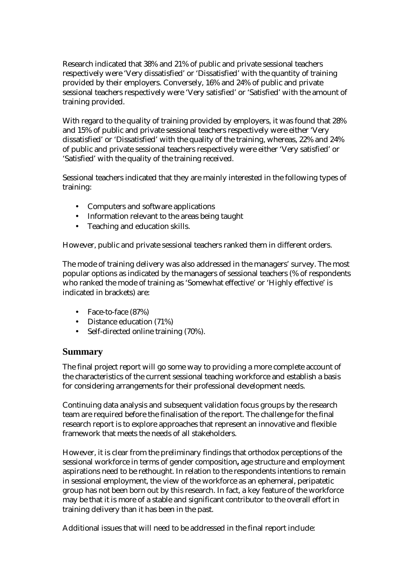Research indicated that 38% and 21% of public and private sessional teachers respectively were 'Very dissatisfied' or 'Dissatisfied' with the quantity of training provided by their employers. Conversely, 16% and 24% of public and private sessional teachers respectively were 'Very satisfied' or 'Satisfied' with the amount of training provided.

With regard to the quality of training provided by employers, it was found that 28% and 15% of public and private sessional teachers respectively were either 'Very dissatisfied' or 'Dissatisfied' with the quality of the training, whereas, 22% and 24% of public and private sessional teachers respectively were either 'Very satisfied' or 'Satisfied' with the quality of the training received.

Sessional teachers indicated that they are mainly interested in the following types of training:

- Computers and software applications
- Information relevant to the areas being taught
- Teaching and education skills.

However, public and private sessional teachers ranked them in different orders.

The mode of training delivery was also addressed in the managers' survey. The most popular options as indicated by the managers of sessional teachers (% of respondents who ranked the mode of training as 'Somewhat effective' or 'Highly effective' is indicated in brackets) are:

- Face-to-face (87%)
- Distance education (71%)
- Self-directed online training (70%).

#### **Summary**

The final project report will go some way to providing a more complete account of the characteristics of the current sessional teaching workforce and establish a basis for considering arrangements for their professional development needs.

Continuing data analysis and subsequent validation focus groups by the research team are required before the finalisation of the report. The challenge for the final research report is to explore approaches that represent an innovative and flexible framework that meets the needs of all stakeholders.

However, it is clear from the preliminary findings that orthodox perceptions of the sessional workforce in terms of gender composition**,** age structure and employment aspirations need to be rethought. In relation to the respondents intentions to remain in sessional employment, the view of the workforce as an ephemeral, peripatetic group has not been born out by this research. In fact, a key feature of the workforce may be that it is more of a stable and significant contributor to the overall effort in training delivery than it has been in the past.

Additional issues that will need to be addressed in the final report include: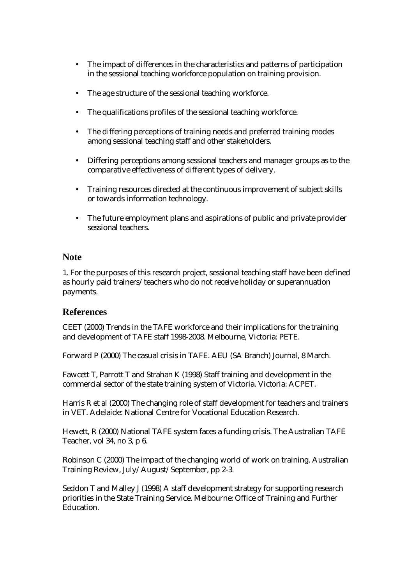- The impact of differences in the characteristics and patterns of participation in the sessional teaching workforce population on training provision.
- The age structure of the sessional teaching workforce.
- The qualifications profiles of the sessional teaching workforce.
- The differing perceptions of training needs and preferred training modes among sessional teaching staff and other stakeholders.
- Differing perceptions among sessional teachers and manager groups as to the comparative effectiveness of different types of delivery.
- Training resources directed at the continuous improvement of subject skills or towards information technology.
- The future employment plans and aspirations of public and private provider sessional teachers.

#### **Note**

1. For the purposes of this research project, sessional teaching staff have been defined as hourly paid trainers/teachers who do not receive holiday or superannuation payments.

## **References**

CEET (2000) Trends in the TAFE workforce and their implications for the training and development of TAFE staff 1998-2008. Melbourne, Victoria: PETE.

Forward P (2000) The casual crisis in TAFE. AEU (SA Branch) Journal, 8 March.

Fawcett T, Parrott T and Strahan K (1998) Staff training and development in the commercial sector of the state training system of Victoria. Victoria: ACPET.

Harris R et al (2000) The changing role of staff development for teachers and trainers in VET. Adelaide: National Centre for Vocational Education Research.

Hewett, R (2000) National TAFE system faces a funding crisis. The Australian TAFE Teacher, vol 34, no 3, p 6.

Robinson C (2000) The impact of the changing world of work on training. Australian Training Review, July/August/September, pp 2-3.

Seddon T and Malley J (1998) A staff development strategy for supporting research priorities in the State Training Service. Melbourne: Office of Training and Further Education.